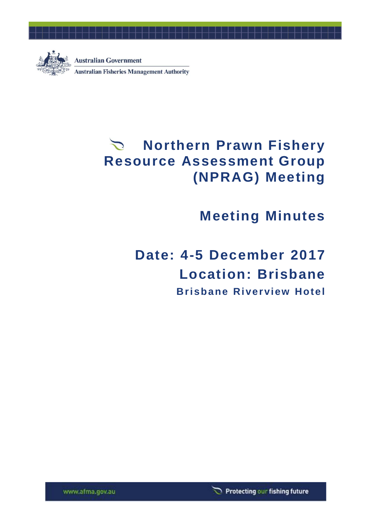

## **Northern Prawn Fishery Resource Assessment Group (NPRAG) Meeting**

## **Meeting Minutes**

# **Date: 4-5 December 2017 Location: Brisbane Brisbane Riverview Hotel**

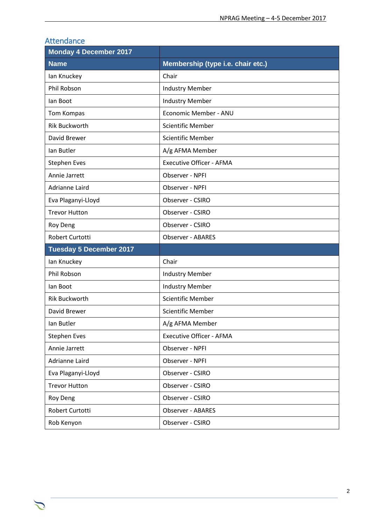| Allendance                     |                                   |
|--------------------------------|-----------------------------------|
| <b>Monday 4 December 2017</b>  |                                   |
| <b>Name</b>                    | Membership (type i.e. chair etc.) |
| lan Knuckey                    | Chair                             |
| <b>Phil Robson</b>             | <b>Industry Member</b>            |
| lan Boot                       | <b>Industry Member</b>            |
| Tom Kompas                     | Economic Member - ANU             |
| <b>Rik Buckworth</b>           | <b>Scientific Member</b>          |
| David Brewer                   | <b>Scientific Member</b>          |
| Ian Butler                     | A/g AFMA Member                   |
| <b>Stephen Eves</b>            | <b>Executive Officer - AFMA</b>   |
| Annie Jarrett                  | Observer - NPFI                   |
| Adrianne Laird                 | Observer - NPFI                   |
| Eva Plaganyi-Lloyd             | Observer - CSIRO                  |
| <b>Trevor Hutton</b>           | Observer - CSIRO                  |
| <b>Roy Deng</b>                | Observer - CSIRO                  |
| Robert Curtotti                | <b>Observer - ABARES</b>          |
| <b>Tuesday 5 December 2017</b> |                                   |
| lan Knuckey                    | Chair                             |
| Phil Robson                    | <b>Industry Member</b>            |
| lan Boot                       | <b>Industry Member</b>            |
| <b>Rik Buckworth</b>           | <b>Scientific Member</b>          |
| David Brewer                   | <b>Scientific Member</b>          |
| Ian Butler                     | A/g AFMA Member                   |
| <b>Stephen Eves</b>            | <b>Executive Officer - AFMA</b>   |
| Annie Jarrett                  | Observer - NPFI                   |
| Adrianne Laird                 | Observer - NPFI                   |
| Eva Plaganyi-Lloyd             | Observer - CSIRO                  |
| <b>Trevor Hutton</b>           | Observer - CSIRO                  |
| Roy Deng                       | Observer - CSIRO                  |
| Robert Curtotti                | <b>Observer - ABARES</b>          |
| Rob Kenyon                     | Observer - CSIRO                  |

## **Attendance**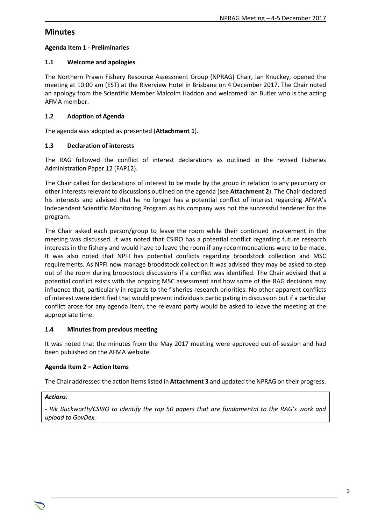## **Minutes**

## **Agenda Item 1 - Preliminaries**

## **1.1 Welcome and apologies**

The Northern Prawn Fishery Resource Assessment Group (NPRAG) Chair, Ian Knuckey, opened the meeting at 10.00 am (EST) at the Riverview Hotel in Brisbane on 4 December 2017. The Chair noted an apology from the Scientific Member Malcolm Haddon and welcomed Ian Butler who is the acting AFMA member.

## **1.2 Adoption of Agenda**

The agenda was adopted as presented (**Attachment 1**).

## **1.3 Declaration of interests**

The RAG followed the conflict of interest declarations as outlined in the revised Fisheries Administration Paper 12 (FAP12).

The Chair called for declarations of interest to be made by the group in relation to any pecuniary or other interests relevant to discussions outlined on the agenda (see **Attachment 2**). The Chair declared his interests and advised that he no longer has a potential conflict of interest regarding AFMA's Independent Scientific Monitoring Program as his company was not the successful tenderer for the program.

The Chair asked each person/group to leave the room while their continued involvement in the meeting was discussed. It was noted that CSIRO has a potential conflict regarding future research interests in the fishery and would have to leave the room if any recommendations were to be made. It was also noted that NPFI has potential conflicts regarding broodstock collection and MSC requirements. As NPFI now manage broodstock collection it was advised they may be asked to step out of the room during broodstock discussions if a conflict was identified. The Chair advised that a potential conflict exists with the ongoing MSC assessment and how some of the RAG decisions may influence that, particularly in regards to the fisheries research priorities. No other apparent conflicts of interest were identified that would prevent individuals participating in discussion but if a particular conflict arose for any agenda item, the relevant party would be asked to leave the meeting at the appropriate time.

## **1.4 Minutes from previous meeting**

It was noted that the minutes from the May 2017 meeting were approved out-of-session and had been published on the AFMA website.

## **Agenda Item 2 – Action Items**

The Chair addressed the action items listed in **Attachment 3** and updated the NPRAG on their progress.

## *Actions:*

*- Rik Buckworth/CSIRO to identify the top 50 papers that are fundamental to the RAG's work and upload to GovDex.*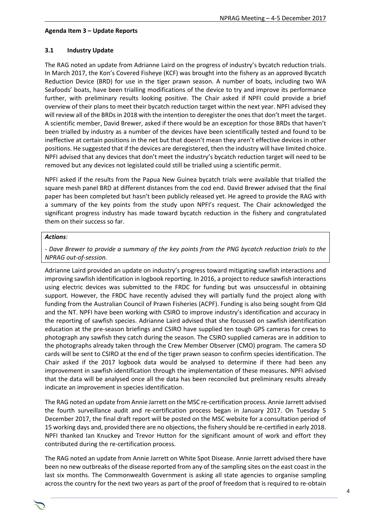#### **Agenda Item 3 – Update Reports**

#### **3.1 Industry Update**

The RAG noted an update from Adrianne Laird on the progress of industry's bycatch reduction trials. In March 2017, the Kon's Covered Fisheye (KCF) was brought into the fishery as an approved Bycatch Reduction Device (BRD) for use in the tiger prawn season. A number of boats, including two WA Seafoods' boats, have been trialling modifications of the device to try and improve its performance further, with preliminary results looking positive. The Chair asked if NPFI could provide a brief overview of their plans to meet their bycatch reduction target within the next year. NPFI advised they will review all of the BRDs in 2018 with the intention to deregister the ones that don't meet the target. A scientific member, David Brewer, asked if there would be an exception for those BRDs that haven't been trialled by industry as a number of the devices have been scientifically tested and found to be ineffective at certain positions in the net but that doesn't mean they aren't effective devices in other positions. He suggested that if the devices are deregistered, then the industry will have limited choice. NPFI advised that any devices that don't meet the industry's bycatch reduction target will need to be removed but any devices not legislated could still be trialled using a scientific permit.

NPFI asked if the results from the Papua New Guinea bycatch trials were available that trialled the square mesh panel BRD at different distances from the cod end. David Brewer advised that the final paper has been completed but hasn't been publicly released yet. He agreed to provide the RAG with a summary of the key points from the study upon NPFI's request. The Chair acknowledged the significant progress industry has made toward bycatch reduction in the fishery and congratulated them on their success so far.

#### *Actions:*

*- Dave Brewer to provide a summary of the key points from the PNG bycatch reduction trials to the NPRAG out-of-session.* 

Adrianne Laird provided an update on industry's progress toward mitigating sawfish interactions and improving sawfish identification in logbook reporting. In 2016, a project to reduce sawfish interactions using electric devices was submitted to the FRDC for funding but was unsuccessful in obtaining support. However, the FRDC have recently advised they will partially fund the project along with funding from the Australian Council of Prawn Fisheries (ACPF). Funding is also being sought from Qld and the NT. NPFI have been working with CSIRO to improve industry's identification and accuracy in the reporting of sawfish species. Adrianne Laird advised that she focussed on sawfish identification education at the pre-season briefings and CSIRO have supplied ten tough GPS cameras for crews to photograph any sawfish they catch during the season. The CSIRO supplied cameras are in addition to the photographs already taken through the Crew Member Observer (CMO) program. The camera SD cards will be sent to CSIRO at the end of the tiger prawn season to confirm species identification. The Chair asked if the 2017 logbook data would be analysed to determine if there had been any improvement in sawfish identification through the implementation of these measures. NPFI advised that the data will be analysed once all the data has been reconciled but preliminary results already indicate an improvement in species identification.

The RAG noted an update from Annie Jarrett on the MSC re-certification process. Annie Jarrett advised the fourth surveillance audit and re-certification process began in January 2017. On Tuesday 5 December 2017, the final draft report will be posted on the MSC website for a consultation period of 15 working days and, provided there are no objections, the fishery should be re-certified in early 2018. NPFI thanked Ian Knuckey and Trevor Hutton for the significant amount of work and effort they contributed during the re-certification process.

The RAG noted an update from Annie Jarrett on White Spot Disease. Annie Jarrett advised there have been no new outbreaks of the disease reported from any of the sampling sites on the east coast in the last six months. The Commonwealth Government is asking all state agencies to organise sampling across the country for the next two years as part of the proof of freedom that is required to re-obtain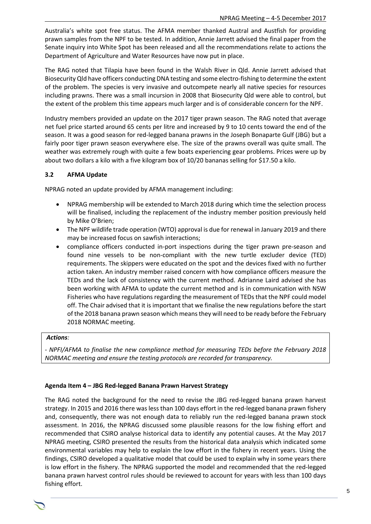Australia's white spot free status. The AFMA member thanked Austral and Austfish for providing prawn samples from the NPF to be tested. In addition, Annie Jarrett advised the final paper from the Senate inquiry into White Spot has been released and all the recommendations relate to actions the Department of Agriculture and Water Resources have now put in place.

The RAG noted that Tilapia have been found in the Walsh River in Qld. Annie Jarrett advised that Biosecurity Qld have officers conducting DNA testing and some electro-fishing to determine the extent of the problem. The species is very invasive and outcompete nearly all native species for resources including prawns. There was a small incursion in 2008 that Biosecurity Qld were able to control, but the extent of the problem this time appears much larger and is of considerable concern for the NPF.

Industry members provided an update on the 2017 tiger prawn season. The RAG noted that average net fuel price started around 65 cents per litre and increased by 9 to 10 cents toward the end of the season. It was a good season for red-legged banana prawns in the Joseph Bonaparte Gulf (JBG) but a fairly poor tiger prawn season everywhere else. The size of the prawns overall was quite small. The weather was extremely rough with quite a few boats experiencing gear problems. Prices were up by about two dollars a kilo with a five kilogram box of 10/20 bananas selling for \$17.50 a kilo.

## **3.2 AFMA Update**

NPRAG noted an update provided by AFMA management including:

- NPRAG membership will be extended to March 2018 during which time the selection process will be finalised, including the replacement of the industry member position previously held by Mike O'Brien;
- The NPF wildlife trade operation (WTO) approval is due for renewal in January 2019 and there may be increased focus on sawfish interactions;
- compliance officers conducted in-port inspections during the tiger prawn pre-season and found nine vessels to be non-compliant with the new turtle excluder device (TED) requirements. The skippers were educated on the spot and the devices fixed with no further action taken. An industry member raised concern with how compliance officers measure the TEDs and the lack of consistency with the current method. Adrianne Laird advised she has been working with AFMA to update the current method and is in communication with NSW Fisheries who have regulations regarding the measurement of TEDs that the NPF could model off. The Chair advised that it is important that we finalise the new regulations before the start of the 2018 banana prawn season which means they will need to be ready before the February 2018 NORMAC meeting.

#### *Actions:*

*- NPFI/AFMA to finalise the new compliance method for measuring TEDs before the February 2018 NORMAC meeting and ensure the testing protocols are recorded for transparency.* 

#### **Agenda Item 4 – JBG Red-legged Banana Prawn Harvest Strategy**

The RAG noted the background for the need to revise the JBG red-legged banana prawn harvest strategy. In 2015 and 2016 there was less than 100 days effort in the red-legged banana prawn fishery and, consequently, there was not enough data to reliably run the red-legged banana prawn stock assessment. In 2016, the NPRAG discussed some plausible reasons for the low fishing effort and recommended that CSIRO analyse historical data to identify any potential causes. At the May 2017 NPRAG meeting, CSIRO presented the results from the historical data analysis which indicated some environmental variables may help to explain the low effort in the fishery in recent years. Using the findings, CSIRO developed a qualitative model that could be used to explain why in some years there is low effort in the fishery. The NPRAG supported the model and recommended that the red-legged banana prawn harvest control rules should be reviewed to account for years with less than 100 days fishing effort.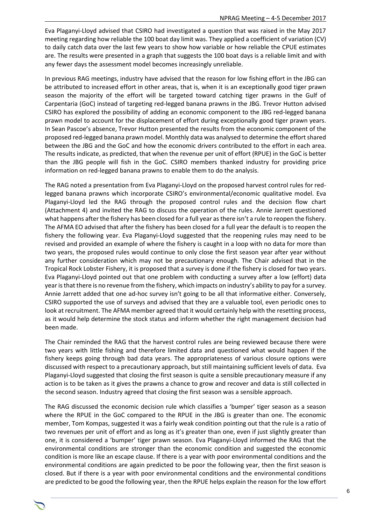Eva Plaganyi-Lloyd advised that CSIRO had investigated a question that was raised in the May 2017 meeting regarding how reliable the 100 boat day limit was. They applied a coefficient of variation (CV) to daily catch data over the last few years to show how variable or how reliable the CPUE estimates are. The results were presented in a graph that suggests the 100 boat days is a reliable limit and with any fewer days the assessment model becomes increasingly unreliable.

In previous RAG meetings, industry have advised that the reason for low fishing effort in the JBG can be attributed to increased effort in other areas, that is, when it is an exceptionally good tiger prawn season the majority of the effort will be targeted toward catching tiger prawns in the Gulf of Carpentaria (GoC) instead of targeting red-legged banana prawns in the JBG. Trevor Hutton advised CSIRO has explored the possibility of adding an economic component to the JBG red-legged banana prawn model to account for the displacement of effort during exceptionally good tiger prawn years. In Sean Pascoe's absence, Trevor Hutton presented the results from the economic component of the proposed red-legged banana prawn model. Monthly data was analysed to determine the effort shared between the JBG and the GoC and how the economic drivers contributed to the effort in each area. The results indicate, as predicted, that when the revenue per unit of effort (RPUE) in the GoC is better than the JBG people will fish in the GoC. CSIRO members thanked industry for providing price information on red-legged banana prawns to enable them to do the analysis.

The RAG noted a presentation from Eva Plaganyi-Lloyd on the proposed harvest control rules for redlegged banana prawns which incorporate CSIRO's environmental/economic qualitative model. Eva Plaganyi-Lloyd led the RAG through the proposed control rules and the decision flow chart (Attachment 4) and invited the RAG to discuss the operation of the rules. Annie Jarrett questioned what happens after the fishery has been closed for a full year as there isn't a rule to reopen the fishery. The AFMA EO advised that after the fishery has been closed for a full year the default is to reopen the fishery the following year. Eva Plaganyi-Lloyd suggested that the reopening rules may need to be revised and provided an example of where the fishery is caught in a loop with no data for more than two years, the proposed rules would continue to only close the first season year after year without any further consideration which may not be precautionary enough. The Chair advised that in the Tropical Rock Lobster Fishery, it is proposed that a survey is done if the fishery is closed for two years. Eva Plaganyi-Lloyd pointed out that one problem with conducting a survey after a low (effort) data year is that there is no revenue from the fishery, which impacts on industry's ability to pay for a survey. Annie Jarrett added that one ad-hoc survey isn't going to be all that informative either. Conversely, CSIRO supported the use of surveys and advised that they are a valuable tool, even periodic ones to look at recruitment. The AFMA member agreed that it would certainly help with the resetting process, as it would help determine the stock status and inform whether the right management decision had been made.

The Chair reminded the RAG that the harvest control rules are being reviewed because there were two years with little fishing and therefore limited data and questioned what would happen if the fishery keeps going through bad data years. The appropriateness of various closure options were discussed with respect to a precautionary approach, but still maintaining sufficient levels of data. Eva Plaganyi-Lloyd suggested that closing the first season is quite a sensible precautionary measure if any action is to be taken as it gives the prawns a chance to grow and recover and data is still collected in the second season. Industry agreed that closing the first season was a sensible approach.

The RAG discussed the economic decision rule which classifies a 'bumper' tiger season as a season where the RPUE in the GoC compared to the RPUE in the JBG is greater than one. The economic member, Tom Kompas, suggested it was a fairly weak condition pointing out that the rule is a ratio of two revenues per unit of effort and as long as it's greater than one, even if just slightly greater than one, it is considered a 'bumper' tiger prawn season. Eva Plaganyi-Lloyd informed the RAG that the environmental conditions are stronger than the economic condition and suggested the economic condition is more like an escape clause. If there is a year with poor environmental conditions and the environmental conditions are again predicted to be poor the following year, then the first season is closed. But if there is a year with poor environmental conditions and the environmental conditions are predicted to be good the following year, then the RPUE helps explain the reason for the low effort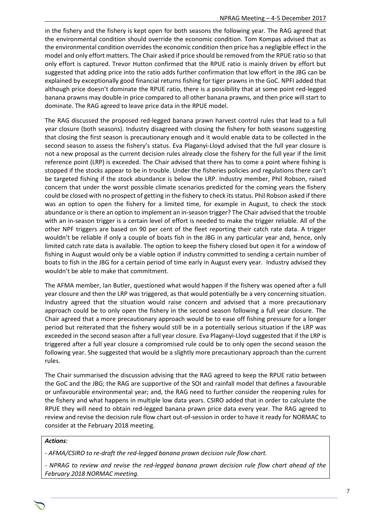in the fishery and the fishery is kept open for both seasons the following year. The RAG agreed that the environmental condition should override the economic condition. Tom Kompas advised that as the environmental condition overrides the economic condition then price has a negligible effect in the model and only effort matters. The Chair asked if price should be removed from the RPUE ratio so that only effort is captured. Trevor Hutton confirmed that the RPUE ratio is mainly driven by effort but suggested that adding price into the ratio adds further confirmation that low effort in the JBG can be explained by exceptionally good financial returns fishing for tiger prawns in the GoC. NPFI added that although price doesn't dominate the RPUE ratio, there is a possibility that at some point red-legged banana prawns may double in price compared to all other banana prawns, and then price will start to dominate. The RAG agreed to leave price data in the RPUE model.

The RAG discussed the proposed red-legged banana prawn harvest control rules that lead to a full year closure (both seasons). Industry disagreed with closing the fishery for both seasons suggesting that closing the first season is precautionary enough and it would enable data to be collected in the second season to assess the fishery's status. Eva Plaganyi-Lloyd advised that the full year closure is not a new proposal as the current decision rules already close the fishery for the full year if the limit reference point (LRP) is exceeded. The Chair advised that there has to come a point where fishing is stopped if the stocks appear to be in trouble. Under the fisheries policies and regulations there can't be targeted fishing if the stock abundance is below the LRP. Industry member, Phil Robson, raised concern that under the worst possible climate scenarios predicted for the coming years the fishery could be closed with no prospect of getting in the fishery to check its status. Phil Robson asked if there was an option to open the fishery for a limited time, for example in August, to check the stock abundance or is there an option to implement an in-season trigger? The Chair advised that the trouble with an in-season trigger is a certain level of effort is needed to make the trigger reliable. All of the other NPF triggers are based on 90 per cent of the fleet reporting their catch rate data. A trigger wouldn't be reliable if only a couple of boats fish in the JBG in any particular year and, hence, only limited catch rate data is available. The option to keep the fishery closed but open it for a window of fishing in August would only be a viable option if industry committed to sending a certain number of boats to fish in the JBG for a certain period of time early in August every year. Industry advised they wouldn't be able to make that commitment.

The AFMA member, Ian Butler, questioned what would happen if the fishery was opened after a full year closure and then the LRP was triggered, as that would potentially be a very concerning situation. Industry agreed that the situation would raise concern and advised that a more precautionary approach could be to only open the fishery in the second season following a full year closure. The Chair agreed that a more precautionary approach would be to ease off fishing pressure for a longer period but reiterated that the fishery would still be in a potentially serious situation if the LRP was exceeded in the second season after a full year closure. Eva Plaganyi-Lloyd suggested that if the LRP is triggered after a full year closure a compromised rule could be to only open the second season the following year. She suggested that would be a slightly more precautionary approach than the current rules.

The Chair summarised the discussion advising that the RAG agreed to keep the RPUE ratio between the GoC and the JBG; the RAG are supportive of the SOI and rainfall model that defines a favourable or unfavourable environmental year; and, the RAG need to further consider the reopening rules for the fishery and what happens in multiple low data years. CSIRO added that in order to calculate the RPUE they will need to obtain red-legged banana prawn price data every year. The RAG agreed to review and revise the decision rule flow chart out-of-session in order to have it ready for NORMAC to consider at the February 2018 meeting.

#### *Actions:*

*- AFMA/CSIRO to re-draft the red-legged banana prawn decision rule flow chart.*

*- NPRAG to review and revise the red-legged banana prawn decision rule flow chart ahead of the February 2018 NORMAC meeting.*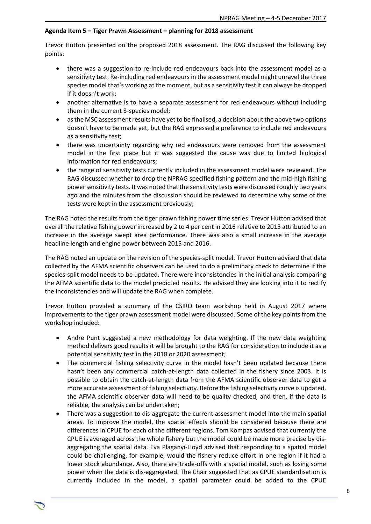#### **Agenda Item 5 – Tiger Prawn Assessment – planning for 2018 assessment**

Trevor Hutton presented on the proposed 2018 assessment. The RAG discussed the following key points:

- there was a suggestion to re-include red endeavours back into the assessment model as a sensitivity test. Re-including red endeavours in the assessment model might unravel the three species model that's working at the moment, but as a sensitivity test it can always be dropped if it doesn't work;
- another alternative is to have a separate assessment for red endeavours without including them in the current 3-species model;
- as the MSC assessment results have yet to be finalised, a decision about the above two options doesn't have to be made yet, but the RAG expressed a preference to include red endeavours as a sensitivity test;
- there was uncertainty regarding why red endeavours were removed from the assessment model in the first place but it was suggested the cause was due to limited biological information for red endeavours;
- the range of sensitivity tests currently included in the assessment model were reviewed. The RAG discussed whether to drop the NPRAG specified fishing pattern and the mid-high fishing power sensitivity tests. It was noted that the sensitivity tests were discussed roughly two years ago and the minutes from the discussion should be reviewed to determine why some of the tests were kept in the assessment previously;

The RAG noted the results from the tiger prawn fishing power time series. Trevor Hutton advised that overall the relative fishing power increased by 2 to 4 per cent in 2016 relative to 2015 attributed to an increase in the average swept area performance. There was also a small increase in the average headline length and engine power between 2015 and 2016.

The RAG noted an update on the revision of the species-split model. Trevor Hutton advised that data collected by the AFMA scientific observers can be used to do a preliminary check to determine if the species-split model needs to be updated. There were inconsistencies in the initial analysis comparing the AFMA scientific data to the model predicted results. He advised they are looking into it to rectify the inconsistencies and will update the RAG when complete.

Trevor Hutton provided a summary of the CSIRO team workshop held in August 2017 where improvements to the tiger prawn assessment model were discussed. Some of the key points from the workshop included:

- Andre Punt suggested a new methodology for data weighting. If the new data weighting method delivers good results it will be brought to the RAG for consideration to include it as a potential sensitivity test in the 2018 or 2020 assessment;
- The commercial fishing selectivity curve in the model hasn't been updated because there hasn't been any commercial catch-at-length data collected in the fishery since 2003. It is possible to obtain the catch-at-length data from the AFMA scientific observer data to get a more accurate assessment of fishing selectivity. Before the fishing selectivity curve is updated, the AFMA scientific observer data will need to be quality checked, and then, if the data is reliable, the analysis can be undertaken;
- There was a suggestion to dis-aggregate the current assessment model into the main spatial areas. To improve the model, the spatial effects should be considered because there are differences in CPUE for each of the different regions. Tom Kompas advised that currently the CPUE is averaged across the whole fishery but the model could be made more precise by disaggregating the spatial data. Eva Plaganyi-Lloyd advised that responding to a spatial model could be challenging, for example, would the fishery reduce effort in one region if it had a lower stock abundance. Also, there are trade-offs with a spatial model, such as losing some power when the data is dis-aggregated. The Chair suggested that as CPUE standardisation is currently included in the model, a spatial parameter could be added to the CPUE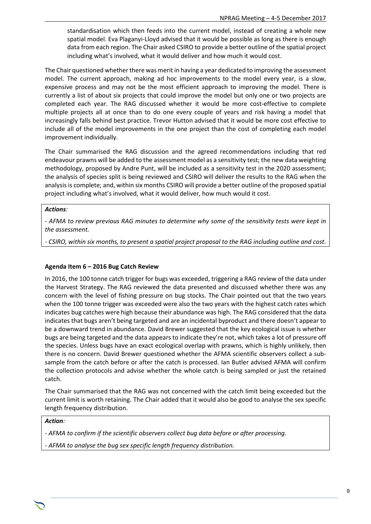standardisation which then feeds into the current model, instead of creating a whole new spatial model. Eva Plaganyi-Lloyd advised that it would be possible as long as there is enough data from each region. The Chair asked CSIRO to provide a better outline of the spatial project including what's involved, what it would deliver and how much it would cost.

The Chair questioned whether there was merit in having a year dedicated to improving the assessment model. The current approach, making ad hoc improvements to the model every year, is a slow, expensive process and may not be the most efficient approach to improving the model. There is currently a list of about six projects that could improve the model but only one or two projects are completed each year. The RAG discussed whether it would be more cost-effective to complete multiple projects all at once than to do one every couple of years and risk having a model that increasingly falls behind best practice. Trevor Hutton advised that it would be more cost effective to include all of the model improvements in the one project than the cost of completing each model improvement individually.

The Chair summarised the RAG discussion and the agreed recommendations including that red endeavour prawns will be added to the assessment model as a sensitivity test; the new data weighting methodology, proposed by Andre Punt, will be included as a sensitivity test in the 2020 assessment; the analysis of species split is being reviewed and CSIRO will deliver the results to the RAG when the analysis is complete; and, within six months CSIRO will provide a better outline of the proposed spatial project including what's involved, what it would deliver, how much would it cost.

#### *Actions:*

*- AFMA to review previous RAG minutes to determine why some of the sensitivity tests were kept in the assessment.*

*- CSIRO, within six months, to present a spatial project proposal to the RAG including outline and cost.* 

#### **Agenda Item 6 – 2016 Bug Catch Review**

In 2016, the 100 tonne catch trigger for bugs was exceeded, triggering a RAG review of the data under the Harvest Strategy. The RAG reviewed the data presented and discussed whether there was any concern with the level of fishing pressure on bug stocks. The Chair pointed out that the two years when the 100 tonne trigger was exceeded were also the two years with the highest catch rates which indicates bug catches were high because their abundance was high. The RAG considered that the data indicates that bugs aren't being targeted and are an incidental byproduct and there doesn't appear to be a downward trend in abundance. David Brewer suggested that the key ecological issue is whether bugs are being targeted and the data appears to indicate they're not, which takes a lot of pressure off the species. Unless bugs have an exact ecological overlap with prawns, which is highly unlikely, then there is no concern. David Brewer questioned whether the AFMA scientific observers collect a subsample from the catch before or after the catch is processed. Ian Butler advised AFMA will confirm the collection protocols and advise whether the whole catch is being sampled or just the retained catch.

The Chair summarised that the RAG was not concerned with the catch limit being exceeded but the current limit is worth retaining. The Chair added that it would also be good to analyse the sex specific length frequency distribution.

#### *Action:*

*- AFMA to confirm if the scientific observers collect bug data before or after processing.* 

*- AFMA to analyse the bug sex specific length frequency distribution.*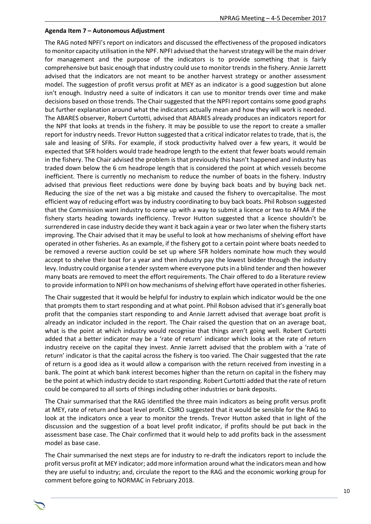#### **Agenda Item 7 – Autonomous Adjustment**

The RAG noted NPFI's report on indicators and discussed the effectiveness of the proposed indicators to monitor capacity utilisation in the NPF. NPFI advised that the harvest strategy will be the main driver for management and the purpose of the indicators is to provide something that is fairly comprehensive but basic enough that industry could use to monitor trends in the fishery. Annie Jarrett advised that the indicators are not meant to be another harvest strategy or another assessment model. The suggestion of profit versus profit at MEY as an indicator is a good suggestion but alone isn't enough. Industry need a suite of indicators it can use to monitor trends over time and make decisions based on those trends. The Chair suggested that the NPFI report contains some good graphs but further explanation around what the indicators actually mean and how they will work is needed. The ABARES observer, Robert Curtotti, advised that ABARES already produces an indicators report for the NPF that looks at trends in the fishery. It may be possible to use the report to create a smaller report for industry needs. Trevor Hutton suggested that a critical indicator relates to trade, that is, the sale and leasing of SFRs. For example, if stock productivity halved over a few years, it would be expected that SFR holders would trade headrope length to the extent that fewer boats would remain in the fishery. The Chair advised the problem is that previously this hasn't happened and industry has traded down below the 6 cm headrope length that is considered the point at which vessels become inefficient. There is currently no mechanism to reduce the number of boats in the fishery. Industry advised that previous fleet reductions were done by buying back boats and by buying back net. Reducing the size of the net was a big mistake and caused the fishery to overcapitalise. The most efficient way of reducing effort was by industry coordinating to buy back boats. Phil Robson suggested that the Commission want industry to come up with a way to submit a licence or two to AFMA if the fishery starts heading towards inefficiency. Trevor Hutton suggested that a licence shouldn't be surrendered in case industry decide they want it back again a year or two later when the fishery starts improving. The Chair advised that it may be useful to look at how mechanisms of shelving effort have operated in other fisheries. As an example, if the fishery got to a certain point where boats needed to be removed a reverse auction could be set up where SFR holders nominate how much they would accept to shelve their boat for a year and then industry pay the lowest bidder through the industry levy. Industry could organise a tender system where everyone puts in a blind tender and then however many boats are removed to meet the effort requirements. The Chair offered to do a literature review to provide information to NPFI on how mechanisms of shelving effort have operated in other fisheries.

The Chair suggested that it would be helpful for industry to explain which indicator would be the one that prompts them to start responding and at what point. Phil Robson advised that it's generally boat profit that the companies start responding to and Annie Jarrett advised that average boat profit is already an indicator included in the report. The Chair raised the question that on an average boat, what is the point at which industry would recognise that things aren't going well. Robert Curtotti added that a better indicator may be a 'rate of return' indicator which looks at the rate of return industry receive on the capital they invest. Annie Jarrett advised that the problem with a 'rate of return' indicator is that the capital across the fishery is too varied. The Chair suggested that the rate of return is a good idea as it would allow a comparison with the return received from investing in a bank. The point at which bank interest becomes higher than the return on capital in the fishery may be the point at which industry decide to start responding. Robert Curtotti added that the rate of return could be compared to all sorts of things including other industries or bank deposits.

The Chair summarised that the RAG identified the three main indicators as being profit versus profit at MEY, rate of return and boat level profit. CSIRO suggested that it would be sensible for the RAG to look at the indicators once a year to monitor the trends. Trevor Hutton asked that in light of the discussion and the suggestion of a boat level profit indicator, if profits should be put back in the assessment base case. The Chair confirmed that it would help to add profits back in the assessment model as base case.

The Chair summarised the next steps are for industry to re-draft the indicators report to include the profit versus profit at MEY indicator; add more information around what the indicators mean and how they are useful to industry; and, circulate the report to the RAG and the economic working group for comment before going to NORMAC in February 2018.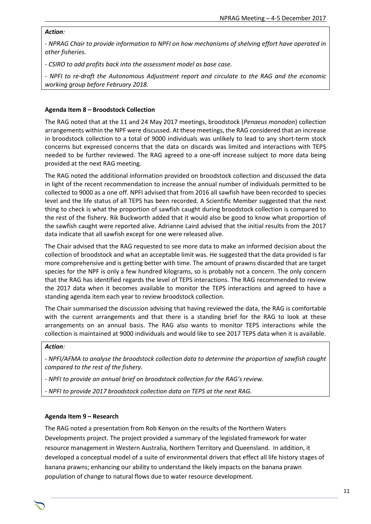#### *Action:*

*- NPRAG Chair to provide information to NPFI on how mechanisms of shelving effort have operated in other fisheries.*

*- CSIRO to add profits back into the assessment model as base case.* 

*- NPFI to re-draft the Autonomous Adjustment report and circulate to the RAG and the economic working group before February 2018.* 

#### **Agenda Item 8 – Broodstock Collection**

The RAG noted that at the 11 and 24 May 2017 meetings, broodstock (*Penaeus monodon*) collection arrangements within the NPF were discussed. At these meetings, the RAG considered that an increase in broodstock collection to a total of 9000 individuals was unlikely to lead to any short-term stock concerns but expressed concerns that the data on discards was limited and interactions with TEPS needed to be further reviewed. The RAG agreed to a one-off increase subject to more data being provided at the next RAG meeting.

The RAG noted the additional information provided on broodstock collection and discussed the data in light of the recent recommendation to increase the annual number of individuals permitted to be collected to 9000 as a one off. NPFI advised that from 2016 all sawfish have been recorded to species level and the life status of all TEPS has been recorded. A Scientific Member suggested that the next thing to check is what the proportion of sawfish caught during broodstock collection is compared to the rest of the fishery. Rik Buckworth added that it would also be good to know what proportion of the sawfish caught were reported alive. Adrianne Laird advised that the initial results from the 2017 data indicate that all sawfish except for one were released alive.

The Chair advised that the RAG requested to see more data to make an informed decision about the collection of broodstock and what an acceptable limit was. He suggested that the data provided is far more comprehensive and is getting better with time. The amount of prawns discarded that are target species for the NPF is only a few hundred kilograms, so is probably not a concern. The only concern that the RAG has identified regards the level of TEPS interactions. The RAG recommended to review the 2017 data when it becomes available to monitor the TEPS interactions and agreed to have a standing agenda item each year to review broodstock collection.

The Chair summarised the discussion advising that having reviewed the data, the RAG is comfortable with the current arrangements and that there is a standing brief for the RAG to look at these arrangements on an annual basis. The RAG also wants to monitor TEPS interactions while the collection is maintained at 9000 individuals and would like to see 2017 TEPS data when it is available.

#### *Action:*

*- NPFI/AFMA to analyse the broodstock collection data to determine the proportion of sawfish caught compared to the rest of the fishery.*

*- NPFI to provide an annual brief on broodstock collection for the RAG's review.*

*- NPFI to provide 2017 broodstock collection data on TEPS at the next RAG.* 

#### **Agenda Item 9 – Research**

The RAG noted a presentation from Rob Kenyon on the results of the Northern Waters Developments project. The project provided a summary of the legislated framework for water resource management in Western Australia, Northern Territory and Queensland. In addition, it developed a conceptual model of a suite of environmental drivers that effect all life history stages of banana prawns; enhancing our ability to understand the likely impacts on the banana prawn population of change to natural flows due to water resource development.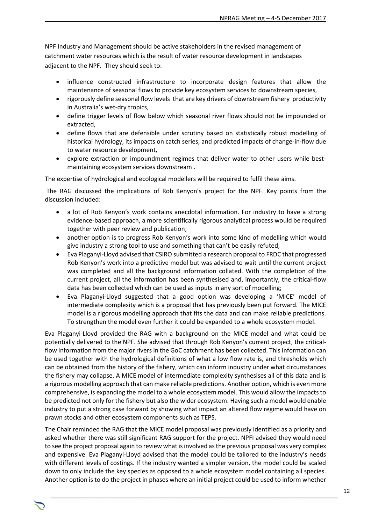NPF Industry and Management should be active stakeholders in the revised management of catchment water resources which is the result of water resource development in landscapes adjacent to the NPF. They should seek to:

- influence constructed infrastructure to incorporate design features that allow the maintenance of seasonal flows to provide key ecosystem services to downstream species,
- rigorously define seasonal flow levels that are key drivers of downstream fishery productivity in Australia's wet-dry tropics,
- define trigger levels of flow below which seasonal river flows should not be impounded or extracted,
- define flows that are defensible under scrutiny based on statistically robust modelling of historical hydrology, its impacts on catch series, and predicted impacts of change-in-flow due to water resource development,
- explore extraction or impoundment regimes that deliver water to other users while bestmaintaining ecosystem services downstream .

The expertise of hydrological and ecological modellers will be required to fulfil these aims.

The RAG discussed the implications of Rob Kenyon's project for the NPF. Key points from the discussion included:

- a lot of Rob Kenyon's work contains anecdotal information. For industry to have a strong evidence-based approach, a more scientifically rigorous analytical process would be required together with peer review and publication;
- another option is to progress Rob Kenyon's work into some kind of modelling which would give industry a strong tool to use and something that can't be easily refuted;
- Eva Plaganyi-Lloyd advised that CSIRO submitted a research proposal to FRDC that progressed Rob Kenyon's work into a predictive model but was advised to wait until the current project was completed and all the background information collated. With the completion of the current project, all the information has been synthesised and, importantly, the critical-flow data has been collected which can be used as inputs in any sort of modelling;
- Eva Plaganyi-Lloyd suggested that a good option was developing a 'MICE' model of intermediate complexity which is a proposal that has previously been put forward. The MICE model is a rigorous modelling approach that fits the data and can make reliable predictions. To strengthen the model even further it could be expanded to a whole ecosystem model.

Eva Plaganyi-Lloyd provided the RAG with a background on the MICE model and what could be potentially delivered to the NPF. She advised that through Rob Kenyon's current project, the criticalflow information from the major rivers in the GoC catchment has been collected. This information can be used together with the hydrological definitions of what a low flow rate is, and thresholds which can be obtained from the history of the fishery, which can inform industry under what circumstances the fishery may collapse. A MICE model of intermediate complexity synthesises all of this data and is a rigorous modelling approach that can make reliable predictions. Another option, which is even more comprehensive, is expanding the model to a whole ecosystem model. This would allow the impacts to be predicted not only for the fishery but also the wider ecosystem. Having such a model would enable industry to put a strong case forward by showing what impact an altered flow regime would have on prawn stocks and other ecosystem components such as TEPS.

The Chair reminded the RAG that the MICE model proposal was previously identified as a priority and asked whether there was still significant RAG support for the project. NPFI advised they would need to see the project proposal again to review what is involved as the previous proposal was very complex and expensive. Eva Plaganyi-Lloyd advised that the model could be tailored to the industry's needs with different levels of costings. If the industry wanted a simpler version, the model could be scaled down to only include the key species as opposed to a whole ecosystem model containing all species. Another option is to do the project in phases where an initial project could be used to inform whether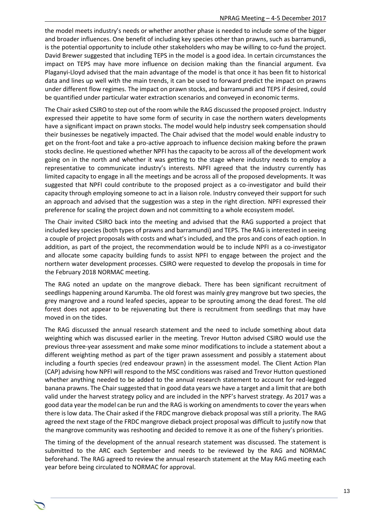the model meets industry's needs or whether another phase is needed to include some of the bigger and broader influences. One benefit of including key species other than prawns, such as barramundi, is the potential opportunity to include other stakeholders who may be willing to co-fund the project. David Brewer suggested that including TEPS in the model is a good idea. In certain circumstances the impact on TEPS may have more influence on decision making than the financial argument. Eva Plaganyi-Lloyd advised that the main advantage of the model is that once it has been fit to historical data and lines up well with the main trends, it can be used to forward predict the impact on prawns under different flow regimes. The impact on prawn stocks, and barramundi and TEPS if desired, could be quantified under particular water extraction scenarios and conveyed in economic terms.

The Chair asked CSIRO to step out of the room while the RAG discussed the proposed project. Industry expressed their appetite to have some form of security in case the northern waters developments have a significant impact on prawn stocks. The model would help industry seek compensation should their businesses be negatively impacted. The Chair advised that the model would enable industry to get on the front-foot and take a pro-active approach to influence decision making before the prawn stocks decline. He questioned whether NPFI has the capacity to be across all of the development work going on in the north and whether it was getting to the stage where industry needs to employ a representative to communicate industry's interests. NPFI agreed that the industry currently has limited capacity to engage in all the meetings and be across all of the proposed developments. It was suggested that NPFI could contribute to the proposed project as a co-investigator and build their capacity through employing someone to act in a liaison role. Industry conveyed their support for such an approach and advised that the suggestion was a step in the right direction. NPFI expressed their preference for scaling the project down and not committing to a whole ecosystem model.

The Chair invited CSIRO back into the meeting and advised that the RAG supported a project that included key species (both types of prawns and barramundi) and TEPS. The RAG is interested in seeing a couple of project proposals with costs and what's included, and the pros and cons of each option. In addition, as part of the project, the recommendation would be to include NPFI as a co-investigator and allocate some capacity building funds to assist NPFI to engage between the project and the northern water development processes. CSIRO were requested to develop the proposals in time for the February 2018 NORMAC meeting.

The RAG noted an update on the mangrove dieback. There has been significant recruitment of seedlings happening around Karumba. The old forest was mainly grey mangrove but two species, the grey mangrove and a round leafed species, appear to be sprouting among the dead forest. The old forest does not appear to be rejuvenating but there is recruitment from seedlings that may have moved in on the tides.

The RAG discussed the annual research statement and the need to include something about data weighting which was discussed earlier in the meeting. Trevor Hutton advised CSIRO would use the previous three-year assessment and make some minor modifications to include a statement about a different weighting method as part of the tiger prawn assessment and possibly a statement about including a fourth species (red endeavour prawn) in the assessment model. The Client Action Plan (CAP) advising how NPFI will respond to the MSC conditions was raised and Trevor Hutton questioned whether anything needed to be added to the annual research statement to account for red-legged banana prawns. The Chair suggested that in good data years we have a target and a limit that are both valid under the harvest strategy policy and are included in the NPF's harvest strategy. As 2017 was a good data year the model can be run and the RAG is working on amendments to cover the years when there is low data. The Chair asked if the FRDC mangrove dieback proposal was still a priority. The RAG agreed the next stage of the FRDC mangrove dieback project proposal was difficult to justify now that the mangrove community was reshooting and decided to remove it as one of the fishery's priorities.

The timing of the development of the annual research statement was discussed. The statement is submitted to the ARC each September and needs to be reviewed by the RAG and NORMAC beforehand. The RAG agreed to review the annual research statement at the May RAG meeting each year before being circulated to NORMAC for approval.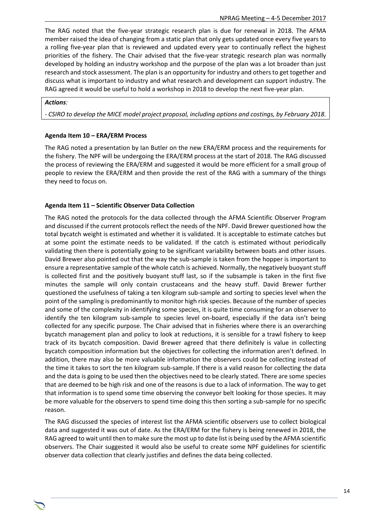The RAG noted that the five-year strategic research plan is due for renewal in 2018. The AFMA member raised the idea of changing from a static plan that only gets updated once every five years to a rolling five-year plan that is reviewed and updated every year to continually reflect the highest priorities of the fishery. The Chair advised that the five-year strategic research plan was normally developed by holding an industry workshop and the purpose of the plan was a lot broader than just research and stock assessment. The plan is an opportunity for industry and others to get together and discuss what is important to industry and what research and development can support industry. The RAG agreed it would be useful to hold a workshop in 2018 to develop the next five-year plan.

#### *Actions:*

*- CSIRO to develop the MICE model project proposal, including options and costings, by February 2018.*

#### **Agenda Item 10 – ERA/ERM Process**

The RAG noted a presentation by Ian Butler on the new ERA/ERM process and the requirements for the fishery. The NPF will be undergoing the ERA/ERM process at the start of 2018. The RAG discussed the process of reviewing the ERA/ERM and suggested it would be more efficient for a small group of people to review the ERA/ERM and then provide the rest of the RAG with a summary of the things they need to focus on.

#### **Agenda Item 11 – Scientific Observer Data Collection**

The RAG noted the protocols for the data collected through the AFMA Scientific Observer Program and discussed if the current protocols reflect the needs of the NPF. David Brewer questioned how the total bycatch weight is estimated and whether it is validated. It is acceptable to estimate catches but at some point the estimate needs to be validated. If the catch is estimated without periodically validating then there is potentially going to be significant variability between boats and other issues. David Brewer also pointed out that the way the sub-sample is taken from the hopper is important to ensure a representative sample of the whole catch is achieved. Normally, the negatively buoyant stuff is collected first and the positively buoyant stuff last, so if the subsample is taken in the first five minutes the sample will only contain crustaceans and the heavy stuff. David Brewer further questioned the usefulness of taking a ten kilogram sub-sample and sorting to species level when the point of the sampling is predominantly to monitor high risk species. Because of the number of species and some of the complexity in identifying some species, it is quite time consuming for an observer to identify the ten kilogram sub-sample to species level on-board, especially if the data isn't being collected for any specific purpose. The Chair advised that in fisheries where there is an overarching bycatch management plan and policy to look at reductions, it is sensible for a trawl fishery to keep track of its bycatch composition. David Brewer agreed that there definitely is value in collecting bycatch composition information but the objectives for collecting the information aren't defined. In addition, there may also be more valuable information the observers could be collecting instead of the time it takes to sort the ten kilogram sub-sample. If there is a valid reason for collecting the data and the data is going to be used then the objectives need to be clearly stated. There are some species that are deemed to be high risk and one of the reasons is due to a lack of information. The way to get that information is to spend some time observing the conveyor belt looking for those species. It may be more valuable for the observers to spend time doing this then sorting a sub-sample for no specific reason.

The RAG discussed the species of interest list the AFMA scientific observers use to collect biological data and suggested it was out of date. As the ERA/ERM for the fishery is being renewed in 2018, the RAG agreed to wait until then to make sure the most up to date list is being used by the AFMA scientific observers. The Chair suggested it would also be useful to create some NPF guidelines for scientific observer data collection that clearly justifies and defines the data being collected.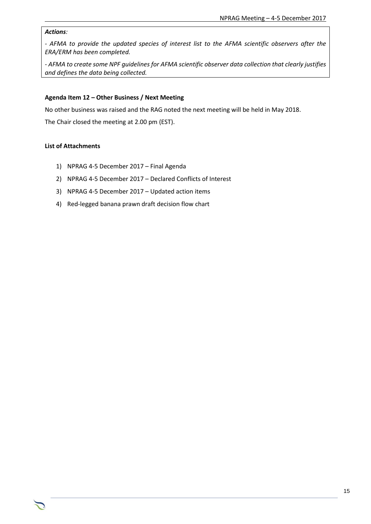## *Actions:*

*- AFMA to provide the updated species of interest list to the AFMA scientific observers after the ERA/ERM has been completed.*

*- AFMA to create some NPF guidelines for AFMA scientific observer data collection that clearly justifies and defines the data being collected.*

#### **Agenda Item 12 – Other Business / Next Meeting**

No other business was raised and the RAG noted the next meeting will be held in May 2018.

The Chair closed the meeting at 2.00 pm (EST).

#### **List of Attachments**

- 1) NPRAG 4-5 December 2017 Final Agenda
- 2) NPRAG 4-5 December 2017 Declared Conflicts of Interest
- 3) NPRAG 4-5 December 2017 Updated action items
- 4) Red-legged banana prawn draft decision flow chart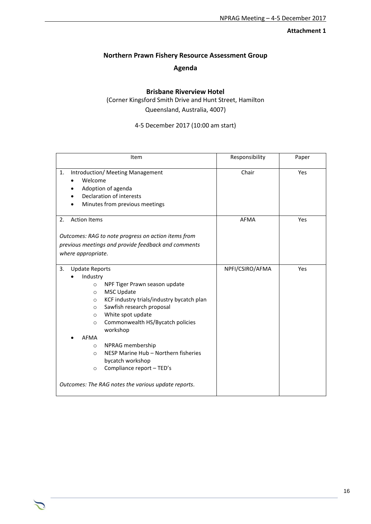## **Attachment 1**

## **Northern Prawn Fishery Resource Assessment Group**

## **Agenda**

## **Brisbane Riverview Hotel**

(Corner Kingsford Smith Drive and Hunt Street, Hamilton Queensland, Australia, 4007)

4-5 December 2017 (10:00 am start)

| Item                                                                                                                                                                                                                                                                                                                                                                                                                                                                                                             | Responsibility  | Paper |
|------------------------------------------------------------------------------------------------------------------------------------------------------------------------------------------------------------------------------------------------------------------------------------------------------------------------------------------------------------------------------------------------------------------------------------------------------------------------------------------------------------------|-----------------|-------|
| 1.<br>Introduction/ Meeting Management<br>Welcome<br>Adoption of agenda<br>Declaration of interests<br>Minutes from previous meetings                                                                                                                                                                                                                                                                                                                                                                            | Chair           | Yes   |
| <b>Action Items</b><br>2.<br>Outcomes: RAG to note progress on action items from<br>previous meetings and provide feedback and comments<br>where appropriate.                                                                                                                                                                                                                                                                                                                                                    | <b>AFMA</b>     | Yes   |
| 3.<br><b>Update Reports</b><br>Industry<br>NPF Tiger Prawn season update<br>$\circ$<br><b>MSC Update</b><br>O<br>KCF industry trials/industry bycatch plan<br>O<br>Sawfish research proposal<br>O<br>White spot update<br>$\circ$<br>Commonwealth HS/Bycatch policies<br>$\circ$<br>workshop<br><b>AFMA</b><br>NPRAG membership<br>$\circ$<br>NESP Marine Hub - Northern fisheries<br>$\circ$<br>bycatch workshop<br>Compliance report - TED's<br>$\circ$<br>Outcomes: The RAG notes the various update reports. | NPFI/CSIRO/AFMA | Yes   |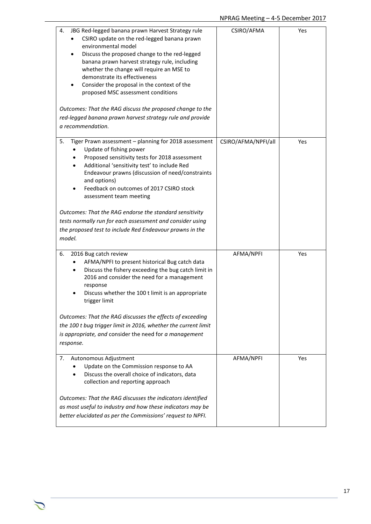| 4.<br>JBG Red-legged banana prawn Harvest Strategy rule<br>CSIRO update on the red-legged banana prawn<br>environmental model<br>Discuss the proposed change to the red-legged<br>banana prawn harvest strategy rule, including<br>whether the change will require an MSE to<br>demonstrate its effectiveness<br>Consider the proposal in the context of the<br>proposed MSC assessment conditions<br>Outcomes: That the RAG discuss the proposed change to the<br>red-legged banana prawn harvest strategy rule and provide<br>a recommendation.   | CSIRO/AFMA          | Yes |
|-----------------------------------------------------------------------------------------------------------------------------------------------------------------------------------------------------------------------------------------------------------------------------------------------------------------------------------------------------------------------------------------------------------------------------------------------------------------------------------------------------------------------------------------------------|---------------------|-----|
| 5.<br>Tiger Prawn assessment - planning for 2018 assessment<br>Update of fishing power<br>Proposed sensitivity tests for 2018 assessment<br>٠<br>Additional 'sensitivity test' to include Red<br>$\bullet$<br>Endeavour prawns (discussion of need/constraints<br>and options)<br>Feedback on outcomes of 2017 CSIRO stock<br>assessment team meeting<br>Outcomes: That the RAG endorse the standard sensitivity<br>tests normally run for each assessment and consider using<br>the proposed test to include Red Endeavour prawns in the<br>model. | CSIRO/AFMA/NPFI/all | Yes |
| 6.<br>2016 Bug catch review<br>AFMA/NPFI to present historical Bug catch data<br>Discuss the fishery exceeding the bug catch limit in<br>$\bullet$<br>2016 and consider the need for a management<br>response<br>Discuss whether the 100 t limit is an appropriate<br>trigger limit<br>Outcomes: That the RAG discusses the effects of exceeding<br>the 100 t bug trigger limit in 2016, whether the current limit<br>is appropriate, and consider the need for a management<br>response.                                                           | AFMA/NPFI           | Yes |
| Autonomous Adjustment<br>7.<br>Update on the Commission response to AA<br>Discuss the overall choice of indicators, data<br>collection and reporting approach<br>Outcomes: That the RAG discusses the indicators identified<br>as most useful to industry and how these indicators may be<br>better elucidated as per the Commissions' request to NPFI.                                                                                                                                                                                             | AFMA/NPFI           | Yes |

 $\sum$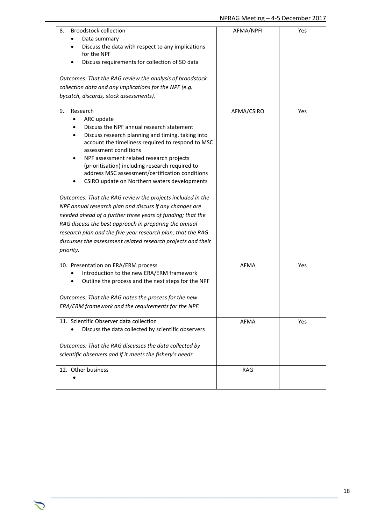| 8.<br><b>Broodstock collection</b><br>Data summary<br>Discuss the data with respect to any implications<br>for the NPF<br>Discuss requirements for collection of SO data<br>Outcomes: That the RAG review the analysis of broodstock<br>collection data and any implications for the NPF (e.g.<br>bycatch, discards, stock assessments).                                                                                                                                                                                                                                                                                                                                                                                                                                                                   | AFMA/NPFI   | Yes |
|------------------------------------------------------------------------------------------------------------------------------------------------------------------------------------------------------------------------------------------------------------------------------------------------------------------------------------------------------------------------------------------------------------------------------------------------------------------------------------------------------------------------------------------------------------------------------------------------------------------------------------------------------------------------------------------------------------------------------------------------------------------------------------------------------------|-------------|-----|
| Research<br>9.<br>ARC update<br>Discuss the NPF annual research statement<br>Discuss research planning and timing, taking into<br>account the timeliness required to respond to MSC<br>assessment conditions<br>NPF assessment related research projects<br>(prioritisation) including research required to<br>address MSC assessment/certification conditions<br>CSIRO update on Northern waters developments<br>Outcomes: That the RAG review the projects included in the<br>NPF annual research plan and discuss if any changes are<br>needed ahead of a further three years of funding; that the<br>RAG discuss the best approach in preparing the annual<br>research plan and the five year research plan; that the RAG<br>discusses the assessment related research projects and their<br>priority. | AFMA/CSIRO  | Yes |
| 10. Presentation on ERA/ERM process<br>Introduction to the new ERA/ERM framework<br>Outline the process and the next steps for the NPF<br>Outcomes: That the RAG notes the process for the new<br>ERA/ERM framework and the requirements for the NPF.                                                                                                                                                                                                                                                                                                                                                                                                                                                                                                                                                      | <b>AFMA</b> | Yes |
| 11. Scientific Observer data collection<br>Discuss the data collected by scientific observers<br>Outcomes: That the RAG discusses the data collected by<br>scientific observers and if it meets the fishery's needs                                                                                                                                                                                                                                                                                                                                                                                                                                                                                                                                                                                        | AFMA        | Yes |
| 12. Other business                                                                                                                                                                                                                                                                                                                                                                                                                                                                                                                                                                                                                                                                                                                                                                                         | <b>RAG</b>  |     |

 $\sum$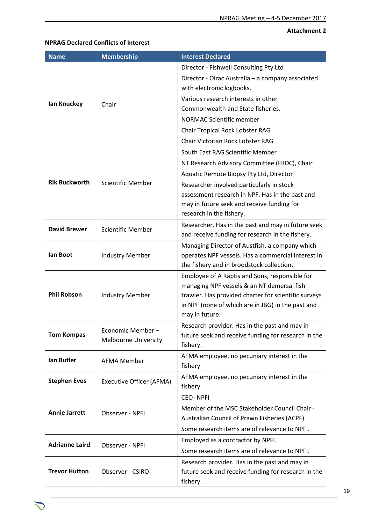## **Attachment 2**

## **NPRAG Declared Conflicts of Interest**

| <b>Name</b>           | <b>Membership</b>                                | <b>Interest Declared</b>                                                                        |
|-----------------------|--------------------------------------------------|-------------------------------------------------------------------------------------------------|
|                       |                                                  | Director - Fishwell Consulting Pty Ltd                                                          |
|                       |                                                  | Director - Olrac Australia - a company associated                                               |
|                       |                                                  | with electronic logbooks.                                                                       |
| lan Knuckey           | Chair                                            | Various research interests in other                                                             |
|                       |                                                  | Commonwealth and State fisheries.                                                               |
|                       |                                                  | <b>NORMAC Scientific member</b>                                                                 |
|                       |                                                  | Chair Tropical Rock Lobster RAG                                                                 |
|                       |                                                  | Chair Victorian Rock Lobster RAG                                                                |
|                       |                                                  | South East RAG Scientific Member                                                                |
|                       |                                                  | NT Research Advisory Committee (FRDC), Chair                                                    |
|                       |                                                  | Aquatic Remote Biopsy Pty Ltd, Director                                                         |
| <b>Rik Buckworth</b>  | <b>Scientific Member</b>                         | Researcher involved particularly in stock                                                       |
|                       |                                                  | assessment research in NPF. Has in the past and                                                 |
|                       |                                                  | may in future seek and receive funding for                                                      |
|                       |                                                  | research in the fishery.                                                                        |
| <b>David Brewer</b>   | <b>Scientific Member</b>                         | Researcher. Has in the past and may in future seek                                              |
|                       | <b>Industry Member</b>                           | and receive funding for research in the fishery.                                                |
|                       |                                                  | Managing Director of Austfish, a company which                                                  |
| lan Boot              |                                                  | operates NPF vessels. Has a commercial interest in<br>the fishery and in broodstock collection. |
|                       |                                                  | Employee of A Raptis and Sons, responsible for                                                  |
| <b>Phil Robson</b>    |                                                  | managing NPF vessels & an NT demersal fish                                                      |
|                       | <b>Industry Member</b>                           | trawler. Has provided charter for scientific surveys                                            |
|                       |                                                  | in NPF (none of which are in JBG) in the past and                                               |
|                       |                                                  | may in future.                                                                                  |
|                       |                                                  | Research provider. Has in the past and may in                                                   |
| <b>Tom Kompas</b>     | Economic Member –<br><b>Melbourne University</b> | future seek and receive funding for research in the                                             |
|                       |                                                  | fishery.                                                                                        |
| <b>Ian Butler</b>     | <b>AFMA Member</b>                               | AFMA employee, no pecuniary interest in the                                                     |
|                       |                                                  | fishery                                                                                         |
| <b>Stephen Eves</b>   | <b>Executive Officer (AFMA)</b>                  | AFMA employee, no pecuniary interest in the                                                     |
|                       |                                                  | fishery                                                                                         |
|                       |                                                  | <b>CEO-NPFI</b>                                                                                 |
| <b>Annie Jarrett</b>  | Observer - NPFI                                  | Member of the MSC Stakeholder Council Chair -                                                   |
|                       |                                                  | Australian Council of Prawn Fisheries (ACPF).                                                   |
|                       |                                                  | Some research items are of relevance to NPFI.                                                   |
| <b>Adrianne Laird</b> | Observer - NPFI                                  | Employed as a contractor by NPFI.                                                               |
|                       |                                                  | Some research items are of relevance to NPFI.                                                   |
|                       |                                                  | Research provider. Has in the past and may in                                                   |
| <b>Trevor Hutton</b>  | Observer - CSIRO                                 | future seek and receive funding for research in the                                             |
|                       |                                                  | fishery.                                                                                        |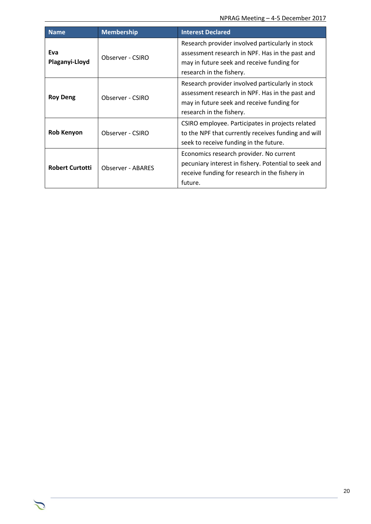| <b>Name</b>                                                                      | <b>Membership</b>        | <b>Interest Declared</b>                                                                                                                                                      |
|----------------------------------------------------------------------------------|--------------------------|-------------------------------------------------------------------------------------------------------------------------------------------------------------------------------|
| Eva<br>Observer - CSIRO<br>Plaganyi-Lloyd<br><b>Roy Deng</b><br>Observer - CSIRO |                          | Research provider involved particularly in stock<br>assessment research in NPF. Has in the past and<br>may in future seek and receive funding for<br>research in the fishery. |
|                                                                                  |                          | Research provider involved particularly in stock<br>assessment research in NPF. Has in the past and<br>may in future seek and receive funding for<br>research in the fishery. |
| <b>Rob Kenyon</b>                                                                | Observer - CSIRO         | CSIRO employee. Participates in projects related<br>to the NPF that currently receives funding and will<br>seek to receive funding in the future.                             |
| <b>Robert Curtotti</b>                                                           | <b>Observer - ABARES</b> | Economics research provider. No current<br>pecuniary interest in fishery. Potential to seek and<br>receive funding for research in the fishery in<br>future.                  |

 $\mathcal{L}$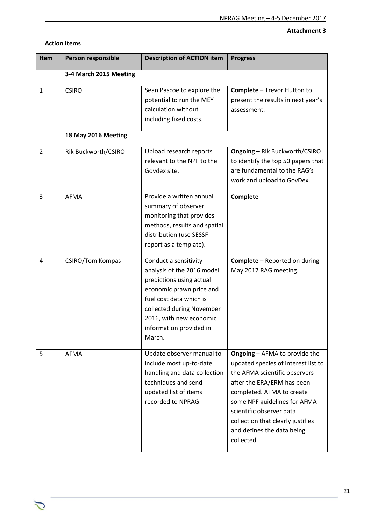## **Attachment 3**

| <b>Item</b>    | Person responsible      | <b>Description of ACTION item</b>                                                                                                                                                                                                   | <b>Progress</b>                                                                                                                                                                                                                                                                                                      |
|----------------|-------------------------|-------------------------------------------------------------------------------------------------------------------------------------------------------------------------------------------------------------------------------------|----------------------------------------------------------------------------------------------------------------------------------------------------------------------------------------------------------------------------------------------------------------------------------------------------------------------|
|                | 3-4 March 2015 Meeting  |                                                                                                                                                                                                                                     |                                                                                                                                                                                                                                                                                                                      |
| $\mathbf{1}$   | <b>CSIRO</b>            | Sean Pascoe to explore the<br>potential to run the MEY<br>calculation without<br>including fixed costs.                                                                                                                             | <b>Complete - Trevor Hutton to</b><br>present the results in next year's<br>assessment.                                                                                                                                                                                                                              |
|                | 18 May 2016 Meeting     |                                                                                                                                                                                                                                     |                                                                                                                                                                                                                                                                                                                      |
| $\overline{2}$ | Rik Buckworth/CSIRO     | Upload research reports<br>relevant to the NPF to the<br>Govdex site.                                                                                                                                                               | <b>Ongoing - Rik Buckworth/CSIRO</b><br>to identify the top 50 papers that<br>are fundamental to the RAG's<br>work and upload to GovDex.                                                                                                                                                                             |
| 3              | <b>AFMA</b>             | Provide a written annual<br>summary of observer<br>monitoring that provides<br>methods, results and spatial<br>distribution (use SESSF<br>report as a template).                                                                    | Complete                                                                                                                                                                                                                                                                                                             |
| 4              | <b>CSIRO/Tom Kompas</b> | Conduct a sensitivity<br>analysis of the 2016 model<br>predictions using actual<br>economic prawn price and<br>fuel cost data which is<br>collected during November<br>2016, with new economic<br>information provided in<br>March. | <b>Complete</b> - Reported on during<br>May 2017 RAG meeting.                                                                                                                                                                                                                                                        |
| 5              | AFMA                    | Update observer manual to<br>include most up-to-date<br>handling and data collection<br>techniques and send<br>updated list of items<br>recorded to NPRAG.                                                                          | <b>Ongoing - AFMA to provide the</b><br>updated species of interest list to<br>the AFMA scientific observers<br>after the ERA/ERM has been<br>completed. AFMA to create<br>some NPF guidelines for AFMA<br>scientific observer data<br>collection that clearly justifies<br>and defines the data being<br>collected. |

#### **Action Items**

 $\mathcal{L}$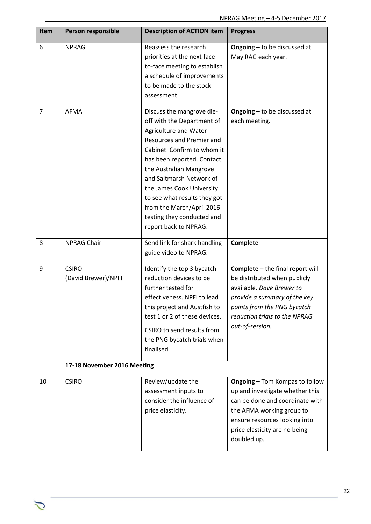| Item           | Person responsible                  | <b>Description of ACTION item</b>                                                                                                                                                                                                                                                                                                                                                  | <b>Progress</b>                                                                                                                                                                                                           |
|----------------|-------------------------------------|------------------------------------------------------------------------------------------------------------------------------------------------------------------------------------------------------------------------------------------------------------------------------------------------------------------------------------------------------------------------------------|---------------------------------------------------------------------------------------------------------------------------------------------------------------------------------------------------------------------------|
| 6              | <b>NPRAG</b>                        | Reassess the research<br>priorities at the next face-<br>to-face meeting to establish<br>a schedule of improvements<br>to be made to the stock<br>assessment.                                                                                                                                                                                                                      | <b>Ongoing</b> $-$ to be discussed at<br>May RAG each year.                                                                                                                                                               |
| $\overline{7}$ | <b>AFMA</b>                         | Discuss the mangrove die-<br>off with the Department of<br>Agriculture and Water<br>Resources and Premier and<br>Cabinet. Confirm to whom it<br>has been reported. Contact<br>the Australian Mangrove<br>and Saltmarsh Network of<br>the James Cook University<br>to see what results they got<br>from the March/April 2016<br>testing they conducted and<br>report back to NPRAG. | <b>Ongoing</b> - to be discussed at<br>each meeting.                                                                                                                                                                      |
| 8              | <b>NPRAG Chair</b>                  | Send link for shark handling<br>guide video to NPRAG.                                                                                                                                                                                                                                                                                                                              | Complete                                                                                                                                                                                                                  |
| 9              | <b>CSIRO</b><br>(David Brewer)/NPFI | Identify the top 3 bycatch<br>reduction devices to be<br>further tested for<br>effectiveness. NPFI to lead<br>this project and Austfish to<br>test 1 or 2 of these devices.<br>CSIRO to send results from<br>the PNG bycatch trials when<br>finalised.                                                                                                                             | Complete - the final report will<br>be distributed when publicly<br>available. Dave Brewer to<br>provide a summary of the key<br>points from the PNG bycatch<br>reduction trials to the NPRAG<br>out-of-session.          |
|                | 17-18 November 2016 Meeting         |                                                                                                                                                                                                                                                                                                                                                                                    |                                                                                                                                                                                                                           |
| 10             | <b>CSIRO</b>                        | Review/update the<br>assessment inputs to<br>consider the influence of<br>price elasticity.                                                                                                                                                                                                                                                                                        | <b>Ongoing - Tom Kompas to follow</b><br>up and investigate whether this<br>can be done and coordinate with<br>the AFMA working group to<br>ensure resources looking into<br>price elasticity are no being<br>doubled up. |

 $\sum$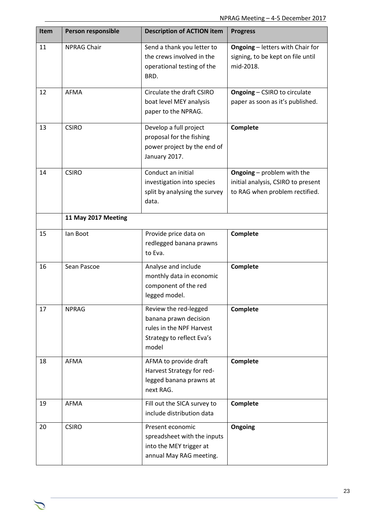| Item | Person responsible  | <b>Description of ACTION item</b>                                                                                | <b>Progress</b>                                                                                           |
|------|---------------------|------------------------------------------------------------------------------------------------------------------|-----------------------------------------------------------------------------------------------------------|
| 11   | <b>NPRAG Chair</b>  | Send a thank you letter to<br>the crews involved in the<br>operational testing of the<br>BRD.                    | <b>Ongoing</b> - letters with Chair for<br>signing, to be kept on file until<br>mid-2018.                 |
| 12   | <b>AFMA</b>         | Circulate the draft CSIRO<br>boat level MEY analysis<br>paper to the NPRAG.                                      | <b>Ongoing - CSIRO to circulate</b><br>paper as soon as it's published.                                   |
| 13   | <b>CSIRO</b>        | Develop a full project<br>proposal for the fishing<br>power project by the end of<br>January 2017.               | Complete                                                                                                  |
| 14   | <b>CSIRO</b>        | Conduct an initial<br>investigation into species<br>split by analysing the survey<br>data.                       | <b>Ongoing</b> - problem with the<br>initial analysis, CSIRO to present<br>to RAG when problem rectified. |
|      | 11 May 2017 Meeting |                                                                                                                  |                                                                                                           |
| 15   | lan Boot            | Provide price data on<br>redlegged banana prawns<br>to Eva.                                                      | Complete                                                                                                  |
| 16   | Sean Pascoe         | Analyse and include<br>monthly data in economic<br>component of the red<br>legged model.                         | Complete                                                                                                  |
| 17   | <b>NPRAG</b>        | Review the red-legged<br>banana prawn decision<br>rules in the NPF Harvest<br>Strategy to reflect Eva's<br>model | Complete                                                                                                  |
| 18   | AFMA                | AFMA to provide draft<br>Harvest Strategy for red-<br>legged banana prawns at<br>next RAG.                       | Complete                                                                                                  |
| 19   | <b>AFMA</b>         | Fill out the SICA survey to<br>include distribution data                                                         | Complete                                                                                                  |
| 20   | <b>CSIRO</b>        | Present economic<br>spreadsheet with the inputs<br>into the MEY trigger at<br>annual May RAG meeting.            | Ongoing                                                                                                   |

 $\mathcal{L}$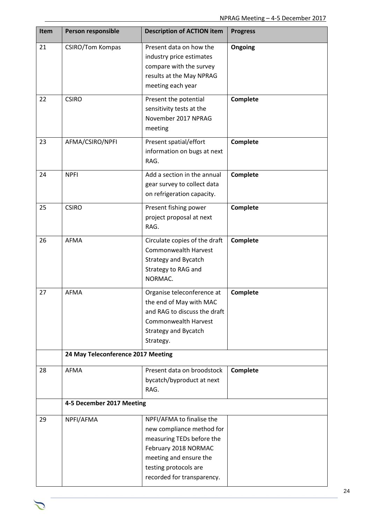| <b>Item</b> | Person responsible                 | <b>Description of ACTION item</b>                                                                                                                                                            | <b>Progress</b> |
|-------------|------------------------------------|----------------------------------------------------------------------------------------------------------------------------------------------------------------------------------------------|-----------------|
| 21          | <b>CSIRO/Tom Kompas</b>            | Present data on how the<br>industry price estimates<br>compare with the survey<br>results at the May NPRAG<br>meeting each year                                                              | Ongoing         |
| 22          | <b>CSIRO</b>                       | Present the potential<br>sensitivity tests at the<br>November 2017 NPRAG<br>meeting                                                                                                          | Complete        |
| 23          | AFMA/CSIRO/NPFI                    | Present spatial/effort<br>information on bugs at next<br>RAG.                                                                                                                                | Complete        |
| 24          | <b>NPFI</b>                        | Add a section in the annual<br>gear survey to collect data<br>on refrigeration capacity.                                                                                                     | Complete        |
| 25          | <b>CSIRO</b>                       | Present fishing power<br>project proposal at next<br>RAG.                                                                                                                                    | Complete        |
| 26          | <b>AFMA</b>                        | Circulate copies of the draft<br><b>Commonwealth Harvest</b><br>Strategy and Bycatch<br>Strategy to RAG and<br>NORMAC.                                                                       | Complete        |
| 27          | <b>AFMA</b>                        | Organise teleconference at<br>the end of May with MAC<br>and RAG to discuss the draft<br><b>Commonwealth Harvest</b><br><b>Strategy and Bycatch</b><br>Strategy.                             | Complete        |
|             | 24 May Teleconference 2017 Meeting |                                                                                                                                                                                              |                 |
| 28          | AFMA                               | Present data on broodstock<br>bycatch/byproduct at next<br>RAG.                                                                                                                              | Complete        |
|             | 4-5 December 2017 Meeting          |                                                                                                                                                                                              |                 |
| 29          | NPFI/AFMA                          | NPFI/AFMA to finalise the<br>new compliance method for<br>measuring TEDs before the<br>February 2018 NORMAC<br>meeting and ensure the<br>testing protocols are<br>recorded for transparency. |                 |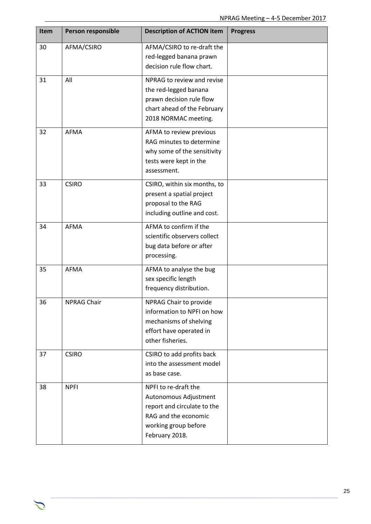| Item | Person responsible | <b>Description of ACTION item</b>                                                                                                              | <b>Progress</b> |
|------|--------------------|------------------------------------------------------------------------------------------------------------------------------------------------|-----------------|
| 30   | AFMA/CSIRO         | AFMA/CSIRO to re-draft the<br>red-legged banana prawn<br>decision rule flow chart.                                                             |                 |
| 31   | All                | NPRAG to review and revise<br>the red-legged banana<br>prawn decision rule flow<br>chart ahead of the February<br>2018 NORMAC meeting.         |                 |
| 32   | AFMA               | AFMA to review previous<br>RAG minutes to determine<br>why some of the sensitivity<br>tests were kept in the<br>assessment.                    |                 |
| 33   | <b>CSIRO</b>       | CSIRO, within six months, to<br>present a spatial project<br>proposal to the RAG<br>including outline and cost.                                |                 |
| 34   | <b>AFMA</b>        | AFMA to confirm if the<br>scientific observers collect<br>bug data before or after<br>processing.                                              |                 |
| 35   | AFMA               | AFMA to analyse the bug<br>sex specific length<br>frequency distribution.                                                                      |                 |
| 36   | NPRAG Chair        | NPRAG Chair to provide<br>information to NPFI on how<br>mechanisms of shelving<br>effort have operated in<br>other fisheries.                  |                 |
| 37   | <b>CSIRO</b>       | CSIRO to add profits back<br>into the assessment model<br>as base case.                                                                        |                 |
| 38   | <b>NPFI</b>        | NPFI to re-draft the<br>Autonomous Adjustment<br>report and circulate to the<br>RAG and the economic<br>working group before<br>February 2018. |                 |

 $\mathcal{L}$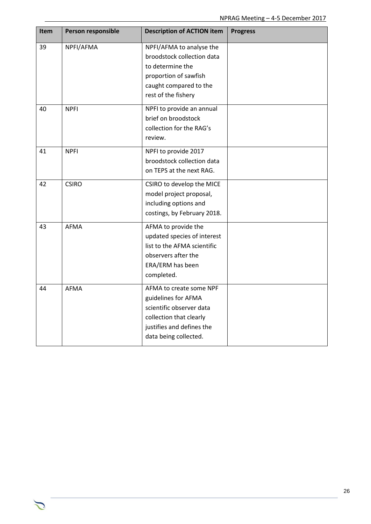| <b>Item</b> | Person responsible | <b>Description of ACTION item</b>                                                                                                                           | <b>Progress</b> |
|-------------|--------------------|-------------------------------------------------------------------------------------------------------------------------------------------------------------|-----------------|
| 39          | NPFI/AFMA          | NPFI/AFMA to analyse the<br>broodstock collection data<br>to determine the<br>proportion of sawfish<br>caught compared to the<br>rest of the fishery        |                 |
| 40          | <b>NPFI</b>        | NPFI to provide an annual<br>brief on broodstock<br>collection for the RAG's<br>review.                                                                     |                 |
| 41          | <b>NPFI</b>        | NPFI to provide 2017<br>broodstock collection data<br>on TEPS at the next RAG.                                                                              |                 |
| 42          | <b>CSIRO</b>       | CSIRO to develop the MICE<br>model project proposal,<br>including options and<br>costings, by February 2018.                                                |                 |
| 43          | <b>AFMA</b>        | AFMA to provide the<br>updated species of interest<br>list to the AFMA scientific<br>observers after the<br>ERA/ERM has been<br>completed.                  |                 |
| 44          | <b>AFMA</b>        | AFMA to create some NPF<br>guidelines for AFMA<br>scientific observer data<br>collection that clearly<br>justifies and defines the<br>data being collected. |                 |

 $\sum$